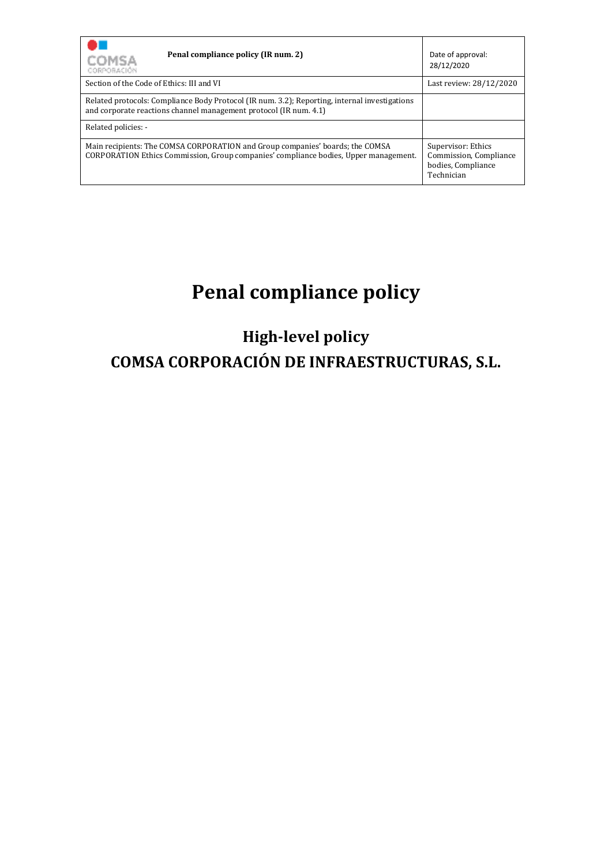| Penal compliance policy (IR num. 2)<br>COMSA<br>CORPORACIÓN                                                                                                           | Date of approval:<br>28/12/2020                                                  |
|-----------------------------------------------------------------------------------------------------------------------------------------------------------------------|----------------------------------------------------------------------------------|
| Section of the Code of Ethics: III and VI                                                                                                                             | Last review: 28/12/2020                                                          |
| Related protocols: Compliance Body Protocol (IR num. 3.2); Reporting, internal investigations<br>and corporate reactions channel management protocol (IR num. 4.1)    |                                                                                  |
| Related policies: -                                                                                                                                                   |                                                                                  |
| Main recipients: The COMSA CORPORATION and Group companies' boards; the COMSA<br>CORPORATION Ethics Commission, Group companies' compliance bodies, Upper management. | Supervisor: Ethics<br>Commission, Compliance<br>bodies, Compliance<br>Technician |

# **Penal compliance policy**

# **High-level policy COMSA CORPORACIÓN DE INFRAESTRUCTURAS, S.L.**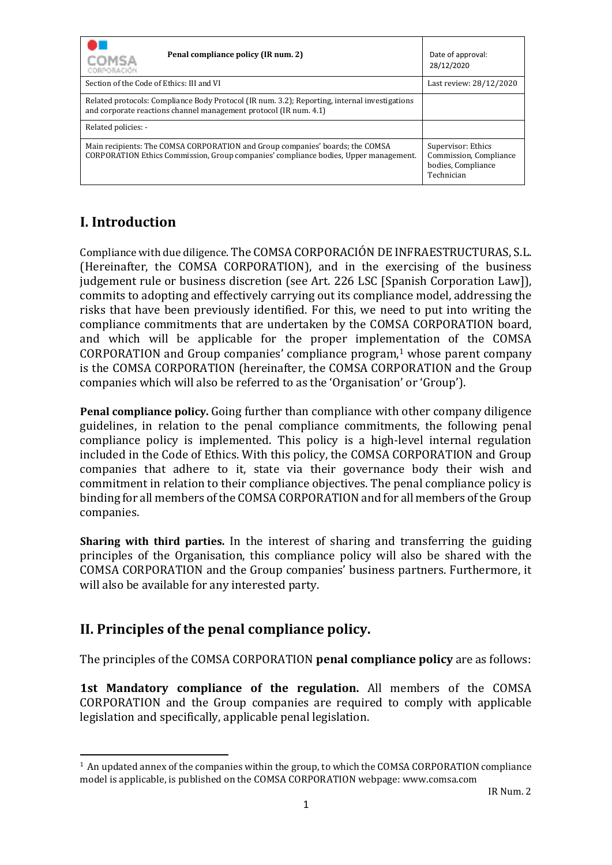| Penal compliance policy (IR num. 2)<br>COMSA<br>CORPORACIÓN                                                                                                           | Date of approval:<br>28/12/2020                                                  |
|-----------------------------------------------------------------------------------------------------------------------------------------------------------------------|----------------------------------------------------------------------------------|
| Section of the Code of Ethics: III and VI                                                                                                                             | Last review: 28/12/2020                                                          |
| Related protocols: Compliance Body Protocol (IR num. 3.2); Reporting, internal investigations<br>and corporate reactions channel management protocol (IR num. 4.1)    |                                                                                  |
| Related policies: -                                                                                                                                                   |                                                                                  |
| Main recipients: The COMSA CORPORATION and Group companies' boards; the COMSA<br>CORPORATION Ethics Commission, Group companies' compliance bodies, Upper management. | Supervisor: Ethics<br>Commission, Compliance<br>bodies, Compliance<br>Technician |

# **I. Introduction**

Compliance with due diligence. The COMSA CORPORACIÓN DE INFRAESTRUCTURAS, S.L. (Hereinafter, the COMSA CORPORATION), and in the exercising of the business judgement rule or business discretion (see Art. 226 LSC [Spanish Corporation Law]), commits to adopting and effectively carrying out its compliance model, addressing the risks that have been previously identified. For this, we need to put into writing the compliance commitments that are undertaken by the COMSA CORPORATION board, and which will be applicable for the proper implementation of the COMSA CORPORATION and Group companies' compliance program, <sup>1</sup> whose parent company is the COMSA CORPORATION (hereinafter, the COMSA CORPORATION and the Group companies which will also be referred to as the 'Organisation' or 'Group').

**Penal compliance policy.** Going further than compliance with other company diligence guidelines, in relation to the penal compliance commitments, the following penal compliance policy is implemented. This policy is a high-level internal regulation included in the Code of Ethics. With this policy, the COMSA CORPORATION and Group companies that adhere to it, state via their governance body their wish and commitment in relation to their compliance objectives. The penal compliance policy is binding for all members of the COMSA CORPORATION and for all members of the Group companies.

**Sharing with third parties.** In the interest of sharing and transferring the guiding principles of the Organisation, this compliance policy will also be shared with the COMSA CORPORATION and the Group companies' business partners. Furthermore, it will also be available for any interested party.

# **II. Principles of the penal compliance policy.**

The principles of the COMSA CORPORATION **penal compliance policy** are as follows:

**1st Mandatory compliance of the regulation.** All members of the COMSA CORPORATION and the Group companies are required to comply with applicable legislation and specifically, applicable penal legislation.

<sup>&</sup>lt;sup>1</sup> An updated annex of the companies within the group, to which the COMSA CORPORATION compliance model is applicable, is published on the COMSA CORPORATION webpage: www.comsa.com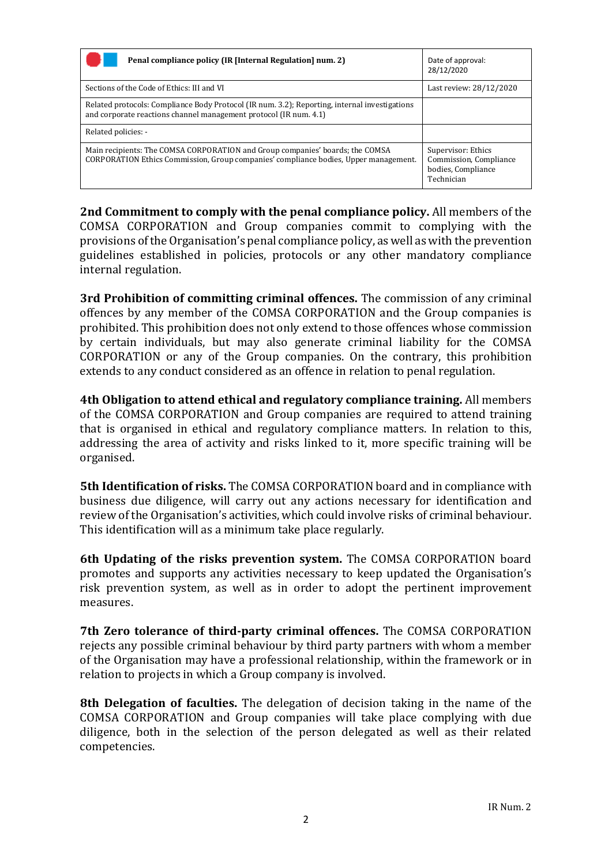| Penal compliance policy (IR [Internal Regulation] num. 2)                                                                                                             | Date of approval:<br>28/12/2020                                                  |
|-----------------------------------------------------------------------------------------------------------------------------------------------------------------------|----------------------------------------------------------------------------------|
| Sections of the Code of Ethics: III and VI                                                                                                                            | Last review: 28/12/2020                                                          |
| Related protocols: Compliance Body Protocol (IR num. 3.2); Reporting, internal investigations<br>and corporate reactions channel management protocol (IR num. 4.1)    |                                                                                  |
| Related policies: -                                                                                                                                                   |                                                                                  |
| Main recipients: The COMSA CORPORATION and Group companies' boards; the COMSA<br>CORPORATION Ethics Commission, Group companies' compliance bodies, Upper management. | Supervisor: Ethics<br>Commission, Compliance<br>bodies, Compliance<br>Technician |

**2nd Commitment to comply with the penal compliance policy.** All members of the COMSA CORPORATION and Group companies commit to complying with the provisions of the Organisation's penal compliance policy, as well as with the prevention guidelines established in policies, protocols or any other mandatory compliance internal regulation.

**3rd Prohibition of committing criminal offences.** The commission of any criminal offences by any member of the COMSA CORPORATION and the Group companies is prohibited. This prohibition does not only extend to those offences whose commission by certain individuals, but may also generate criminal liability for the COMSA CORPORATION or any of the Group companies. On the contrary, this prohibition extends to any conduct considered as an offence in relation to penal regulation.

**4th Obligation to attend ethical and regulatory compliance training.** All members of the COMSA CORPORATION and Group companies are required to attend training that is organised in ethical and regulatory compliance matters. In relation to this, addressing the area of activity and risks linked to it, more specific training will be organised.

**5th Identification of risks.** The COMSA CORPORATION board and in compliance with business due diligence, will carry out any actions necessary for identification and review of the Organisation's activities, which could involve risks of criminal behaviour. This identification will as a minimum take place regularly.

**6th Updating of the risks prevention system.** The COMSA CORPORATION board promotes and supports any activities necessary to keep updated the Organisation's risk prevention system, as well as in order to adopt the pertinent improvement measures.

**7th Zero tolerance of third-party criminal offences.** The COMSA CORPORATION rejects any possible criminal behaviour by third party partners with whom a member of the Organisation may have a professional relationship, within the framework or in relation to projects in which a Group company is involved.

**8th Delegation of faculties.** The delegation of decision taking in the name of the COMSA CORPORATION and Group companies will take place complying with due diligence, both in the selection of the person delegated as well as their related competencies.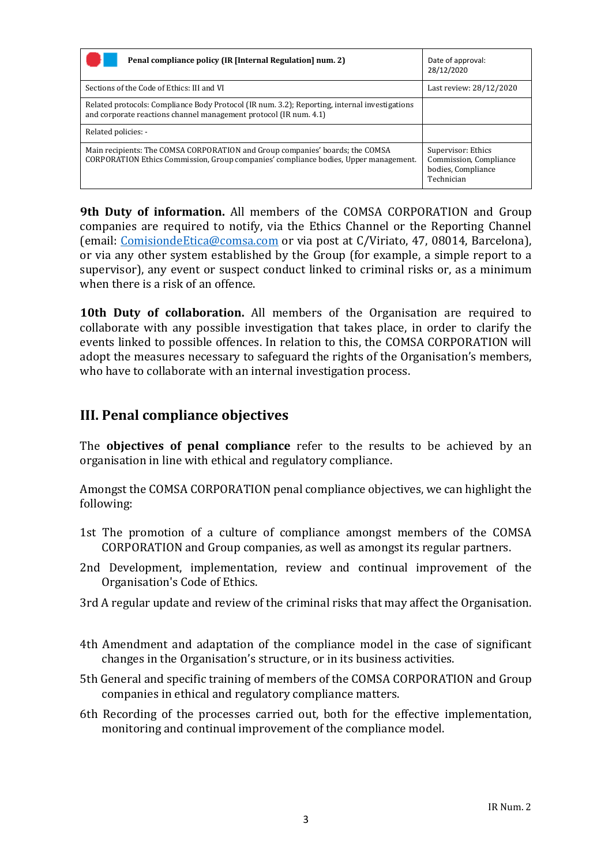| Penal compliance policy (IR [Internal Regulation] num. 2)                                                                                                             | Date of approval:<br>28/12/2020                                                  |
|-----------------------------------------------------------------------------------------------------------------------------------------------------------------------|----------------------------------------------------------------------------------|
| Sections of the Code of Ethics: III and VI                                                                                                                            | Last review: 28/12/2020                                                          |
| Related protocols: Compliance Body Protocol (IR num. 3.2); Reporting, internal investigations<br>and corporate reactions channel management protocol (IR num. 4.1)    |                                                                                  |
| Related policies: -                                                                                                                                                   |                                                                                  |
| Main recipients: The COMSA CORPORATION and Group companies' boards; the COMSA<br>CORPORATION Ethics Commission, Group companies' compliance bodies, Upper management. | Supervisor: Ethics<br>Commission, Compliance<br>bodies, Compliance<br>Technician |

**9th Duty of information.** All members of the COMSA CORPORATION and Group companies are required to notify, via the Ethics Channel or the Reporting Channel (email: ComisiondeEtica@comsa.com or via post at C/Viriato, 47, 08014, Barcelona), or via any other system established by the Group (for example, a simple report to a supervisor), any event or suspect conduct linked to criminal risks or, as a minimum when there is a risk of an offence.

**10th Duty of collaboration.** All members of the Organisation are required to collaborate with any possible investigation that takes place, in order to clarify the events linked to possible offences. In relation to this, the COMSA CORPORATION will adopt the measures necessary to safeguard the rights of the Organisation's members, who have to collaborate with an internal investigation process.

#### **III. Penal compliance objectives**

The **objectives of penal compliance** refer to the results to be achieved by an organisation in line with ethical and regulatory compliance.

Amongst the COMSA CORPORATION penal compliance objectives, we can highlight the following:

- 1st The promotion of a culture of compliance amongst members of the COMSA CORPORATION and Group companies, as well as amongst its regular partners.
- 2nd Development, implementation, review and continual improvement of the Organisation's Code of Ethics.
- 3rd A regular update and review of the criminal risks that may affect the Organisation.
- 4th Amendment and adaptation of the compliance model in the case of significant changes in the Organisation's structure, or in its business activities.
- 5th General and specific training of members of the COMSA CORPORATION and Group companies in ethical and regulatory compliance matters.
- 6th Recording of the processes carried out, both for the effective implementation, monitoring and continual improvement of the compliance model.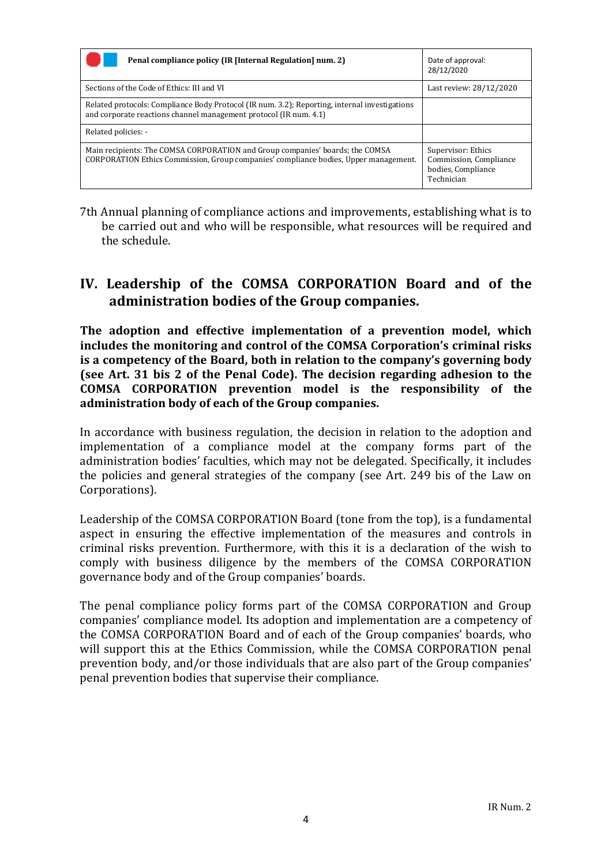| Penal compliance policy (IR [Internal Regulation] num. 2)                                                                                                             | Date of approval:<br>28/12/2020                                                  |
|-----------------------------------------------------------------------------------------------------------------------------------------------------------------------|----------------------------------------------------------------------------------|
| Sections of the Code of Ethics: III and VI                                                                                                                            | Last review: 28/12/2020                                                          |
| Related protocols: Compliance Body Protocol (IR num. 3.2); Reporting, internal investigations<br>and corporate reactions channel management protocol (IR num. 4.1)    |                                                                                  |
| Related policies: -                                                                                                                                                   |                                                                                  |
| Main recipients: The COMSA CORPORATION and Group companies' boards; the COMSA<br>CORPORATION Ethics Commission, Group companies' compliance bodies, Upper management. | Supervisor: Ethics<br>Commission, Compliance<br>bodies, Compliance<br>Technician |

7th Annual planning of compliance actions and improvements, establishing what is to be carried out and who will be responsible, what resources will be required and the schedule.

#### **IV. Leadership of the COMSA CORPORATION Board and of the administration bodies of the Group companies.**

**The adoption and effective implementation of a prevention model, which includes the monitoring and control of the COMSA Corporation's criminal risks is a competency of the Board, both in relation to the company's governing body (see Art. 31 bis 2 of the Penal Code). The decision regarding adhesion to the COMSA CORPORATION prevention model is the responsibility of the administration body of each of the Group companies.** 

In accordance with business regulation, the decision in relation to the adoption and implementation of a compliance model at the company forms part of the administration bodies' faculties, which may not be delegated. Specifically, it includes the policies and general strategies of the company (see Art. 249 bis of the Law on Corporations).

Leadership of the COMSA CORPORATION Board (tone from the top), is a fundamental aspect in ensuring the effective implementation of the measures and controls in criminal risks prevention. Furthermore, with this it is a declaration of the wish to comply with business diligence by the members of the COMSA CORPORATION governance body and of the Group companies' boards.

The penal compliance policy forms part of the COMSA CORPORATION and Group companies' compliance model. Its adoption and implementation are a competency of the COMSA CORPORATION Board and of each of the Group companies' boards, who will support this at the Ethics Commission, while the COMSA CORPORATION penal prevention body, and/or those individuals that are also part of the Group companies' penal prevention bodies that supervise their compliance.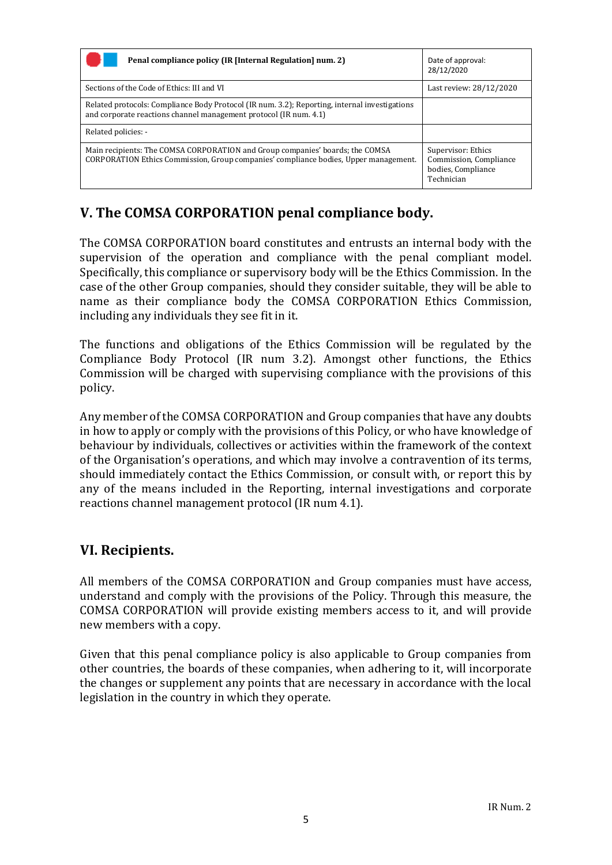| Penal compliance policy (IR [Internal Regulation] num. 2)                                                                                                             | Date of approval:<br>28/12/2020                                                  |
|-----------------------------------------------------------------------------------------------------------------------------------------------------------------------|----------------------------------------------------------------------------------|
| Sections of the Code of Ethics: III and VI                                                                                                                            | Last review: 28/12/2020                                                          |
| Related protocols: Compliance Body Protocol (IR num. 3.2); Reporting, internal investigations<br>and corporate reactions channel management protocol (IR num. 4.1)    |                                                                                  |
| Related policies: -                                                                                                                                                   |                                                                                  |
| Main recipients: The COMSA CORPORATION and Group companies' boards; the COMSA<br>CORPORATION Ethics Commission, Group companies' compliance bodies, Upper management. | Supervisor: Ethics<br>Commission, Compliance<br>bodies, Compliance<br>Technician |

# **V. The COMSA CORPORATION penal compliance body.**

The COMSA CORPORATION board constitutes and entrusts an internal body with the supervision of the operation and compliance with the penal compliant model. Specifically, this compliance or supervisory body will be the Ethics Commission. In the case of the other Group companies, should they consider suitable, they will be able to name as their compliance body the COMSA CORPORATION Ethics Commission, including any individuals they see fit in it.

The functions and obligations of the Ethics Commission will be regulated by the Compliance Body Protocol (IR num 3.2). Amongst other functions, the Ethics Commission will be charged with supervising compliance with the provisions of this policy.

Any member of the COMSA CORPORATION and Group companies that have any doubts in how to apply or comply with the provisions of this Policy, or who have knowledge of behaviour by individuals, collectives or activities within the framework of the context of the Organisation's operations, and which may involve a contravention of its terms, should immediately contact the Ethics Commission, or consult with, or report this by any of the means included in the Reporting, internal investigations and corporate reactions channel management protocol (IR num 4.1).

#### **VI. Recipients.**

All members of the COMSA CORPORATION and Group companies must have access, understand and comply with the provisions of the Policy. Through this measure, the COMSA CORPORATION will provide existing members access to it, and will provide new members with a copy.

Given that this penal compliance policy is also applicable to Group companies from other countries, the boards of these companies, when adhering to it, will incorporate the changes or supplement any points that are necessary in accordance with the local legislation in the country in which they operate.